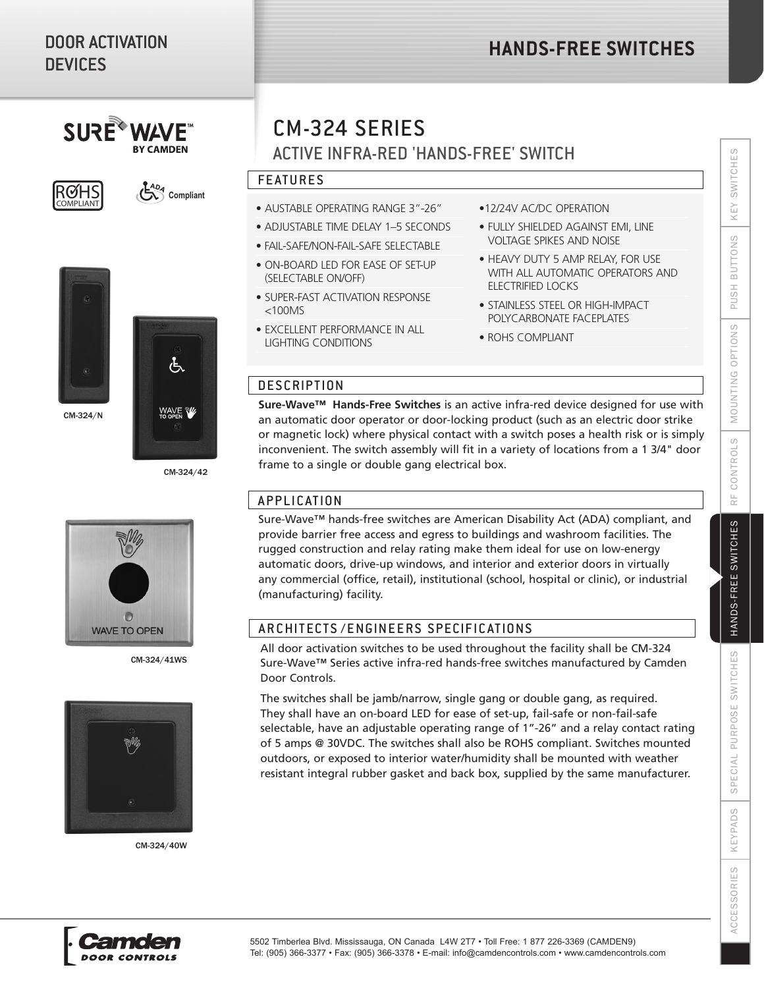# DOOR ACTIVATION **DEVICES**

 $SUBF^*$ 





CM-324/N

CM-324/42

<sup>4D<sub>4</sub></sub> Compliant</sup>



CM-324/41WS



CM-324/40W

# CM-324 SERIES

ACTIVE INFRA-RED 'HANDS-FREE' SWITCH

# FEATURES

- FEATURES AUSTABLE OPERATING RANGE 3"-26"
- ADJUSTABLE TIME DELAY 1–5 SECONDS
- FAIL-SAFE/NON-FAIL-SAFE SELECTABLE
- ON-BOARD LED FOR EASE OF SET-UP (SELECTABLE ON/OFF)
- SUPER-FAST ACTIVATION RESPONSE <100MS
- EXCELLENT PERFORMANCE IN ALL LIGHTING CONDITIONS
- •12/24V AC/DC OPERATION
- FULLY SHIELDED AGAINST EMI, LINE VOLTAGE SPIKES AND NOISE
- HEAVY DUTY 5 AMP RELAY, FOR USE WITH ALL AUTOMATIC OPERATORS AND ELECTRIFIED LOCKS
- STAINLESS STEEL OR HIGH-IMPACT POLYCARBONATE FACEPLATES
- ROHS COMPLIANT

### **DESCRIPTION**

**Sure-Wave™ Hands-Free Switches** is an active infra-red device designed for use with an automatic door operator or door-locking product (such as an electric door strike or magnetic lock) where physical contact with a switch poses a health risk or is simply inconvenient. The switch assembly will fit in a variety of locations from a 1 3/4" door frame to a single or double gang electrical box.

# APPLICATION

Sure-Wave™ hands-free switches are American Disability Act (ADA) compliant, and provide barrier free access and egress to buildings and washroom facilities. The rugged construction and relay rating make them ideal for use on low-energy automatic doors, drive-up windows, and interior and exterior doors in virtually any commercial (office, retail), institutional (school, hospital or clinic), or industrial (manufacturing) facility.

# ARCHITECTS/ENGINEERS SPECIFICATIONS

All door activation switches to be used throughout the facility shall be CM-324 Sure-Wave™ Series active infra-red hands-free switches manufactured by Camden Door Controls.

The switches shall be jamb/narrow, single gang or double gang, as required. They shall have an on-board LED for ease of set-up, fail-safe or non-fail-safe selectable, have an adjustable operating range of 1"-26" and a relay contact rating of 5 amps @ 30VDC. The switches shall also be ROHS compliant. Switches mounted outdoors, or exposed to interior water/humidity shall be mounted with weather resistant integral rubber gasket and back box, supplied by the same manufacturer.

**ACCESSORIES**